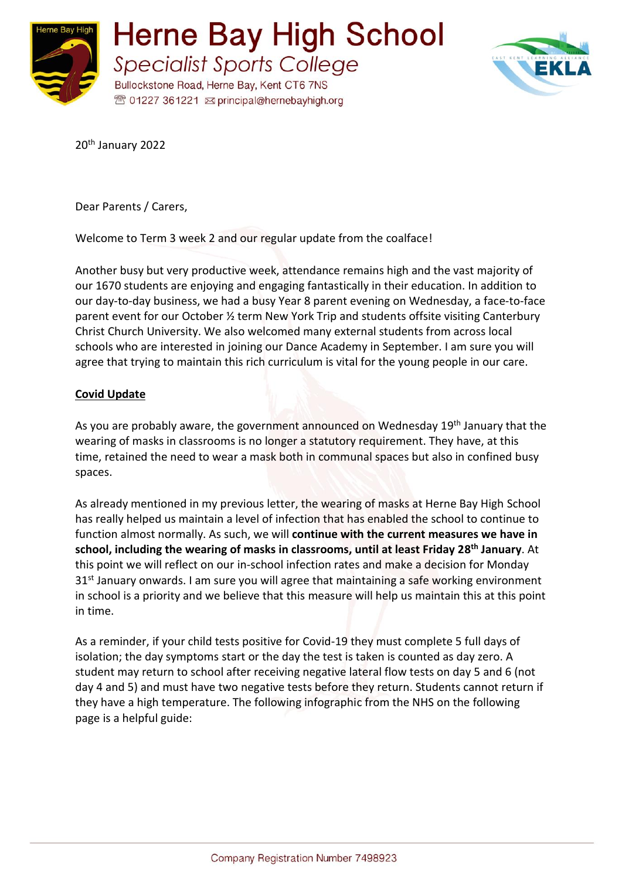



20<sup>th</sup> January 2022

Dear Parents / Carers,

Welcome to Term 3 week 2 and our regular update from the coalface!

Another busy but very productive week, attendance remains high and the vast majority of our 1670 students are enjoying and engaging fantastically in their education. In addition to our day-to-day business, we had a busy Year 8 parent evening on Wednesday, a face-to-face parent event for our October ½ term New York Trip and students offsite visiting Canterbury Christ Church University. We also welcomed many external students from across local schools who are interested in joining our Dance Academy in September. I am sure you will agree that trying to maintain this rich curriculum is vital for the young people in our care.

## **Covid Update**

As you are probably aware, the government announced on Wednesday 19<sup>th</sup> January that the wearing of masks in classrooms is no longer a statutory requirement. They have, at this time, retained the need to wear a mask both in communal spaces but also in confined busy spaces.

As already mentioned in my previous letter, the wearing of masks at Herne Bay High School has really helped us maintain a level of infection that has enabled the school to continue to function almost normally. As such, we will **continue with the current measures we have in school, including the wearing of masks in classrooms, until at least Friday 28 th January**. At this point we will reflect on our in-school infection rates and make a decision for Monday 31<sup>st</sup> January onwards. I am sure you will agree that maintaining a safe working environment in school is a priority and we believe that this measure will help us maintain this at this point in time.

As a reminder, if your child tests positive for Covid-19 they must complete 5 full days of isolation; the day symptoms start or the day the test is taken is counted as day zero. A student may return to school after receiving negative lateral flow tests on day 5 and 6 (not day 4 and 5) and must have two negative tests before they return. Students cannot return if they have a high temperature. The following infographic from the NHS on the following page is a helpful guide: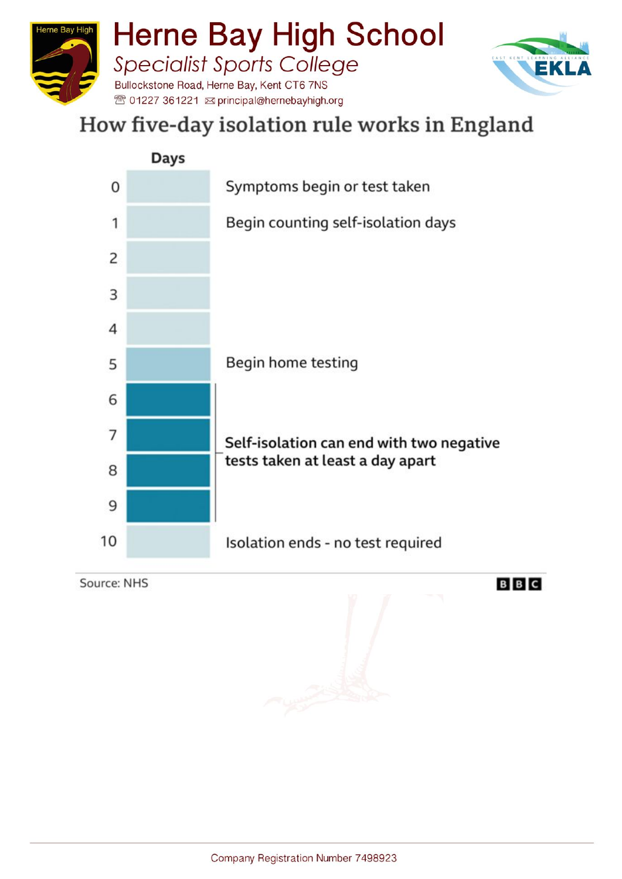



## How five-day isolation rule works in England